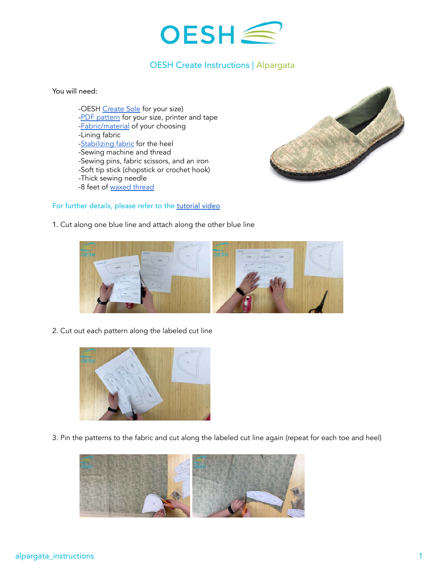

## OESH Create Instructions | Alpargata

You will need:

-OESH [Create Sole](https://oeshshoes.com/product/create-soles/) for your size) [-PDF pattern](http://ftpri2o23ns3wj8ke46t9tum-wpengine.netdna-ssl.com/wp-content/uploads/2021/07/alpargata-patterns_reduced.pdf) for your size, printer and tape [-Fabric/material](https://oeshshoes.com/create/oesh-create-materials/) of your choosing -Lining fabric -**Stabilizing fabric** for the heel -Sewing machine and thread -Sewing pins, fabric scissors, and an iron -Soft tip stick (chopstick or crochet hook) -Thick sewing needle -8 feet of [waxed thread](https://www.amazon.com/Leather-Sewing-Thread-Stitching-String/dp/B06XKP9KFJ?th=1)



1. Cut along one blue line and attach along the other blue line

For further details, please refer to the [tutorial video](https://youtu.be/cD1o5nuZPZI)



2. Cut out each pattern along the labeled cut line



3. Pin the patterns to the fabric and cut along the labeled cut line again (repeat for each toe and heel)

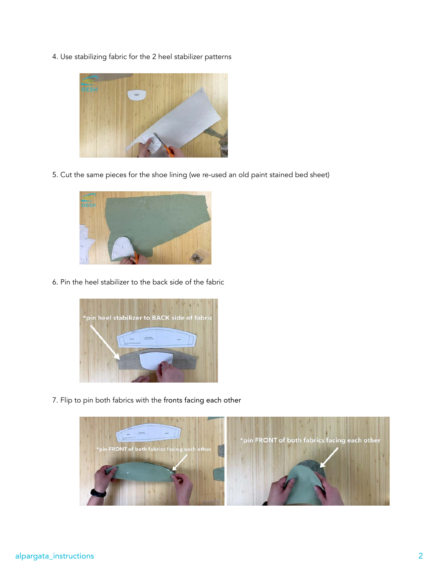4. Use stabilizing fabric for the 2 heel stabilizer patterns



5. Cut the same pieces for the shoe lining (we re-used an old paint stained bed sheet)



6. Pin the heel stabilizer to the back side of the fabric



7. Flip to pin both fabrics with the fronts facing each other

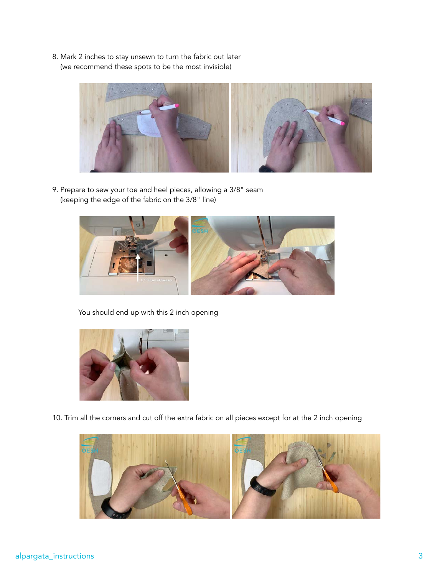8. Mark 2 inches to stay unsewn to turn the fabric out later (we recommend these spots to be the most invisible)



9. Prepare to sew your toe and heel pieces, allowing a 3/8" seam (keeping the edge of the fabric on the 3/8" line)



You should end up with this 2 inch opening



10. Trim all the corners and cut off the extra fabric on all pieces except for at the 2 inch opening

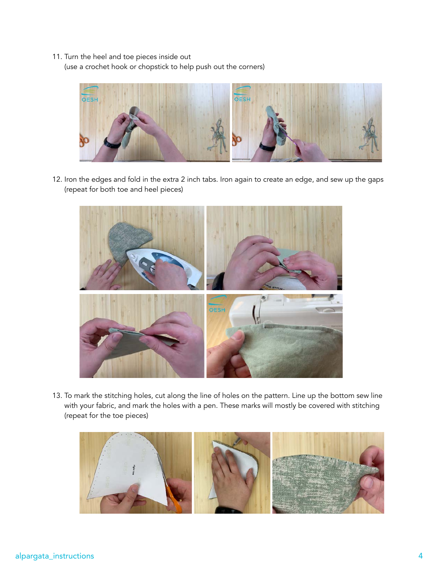## 11. Turn the heel and toe pieces inside out

(use a crochet hook or chopstick to help push out the corners)



12. Iron the edges and fold in the extra 2 inch tabs. Iron again to create an edge, and sew up the gaps (repeat for both toe and heel pieces)



13. To mark the stitching holes, cut along the line of holes on the pattern. Line up the bottom sew line with your fabric, and mark the holes with a pen. These marks will mostly be covered with stitching (repeat for the toe pieces)

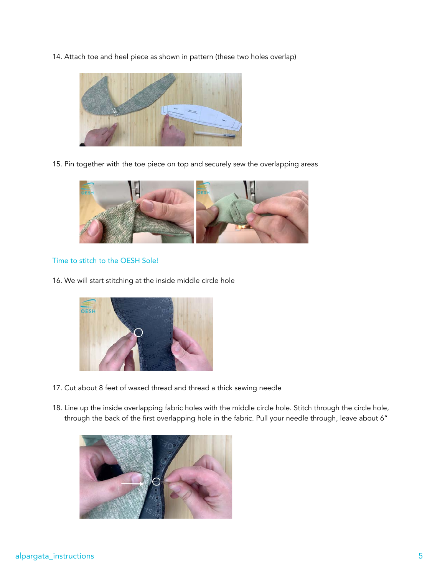14. Attach toe and heel piece as shown in pattern (these two holes overlap)



15. Pin together with the toe piece on top and securely sew the overlapping areas



## Time to stitch to the OESH Sole!

16. We will start stitching at the inside middle circle hole



- 17. Cut about 8 feet of waxed thread and thread a thick sewing needle
- 18. Line up the inside overlapping fabric holes with the middle circle hole. Stitch through the circle hole, through the back of the first overlapping hole in the fabric. Pull your needle through, leave about 6"

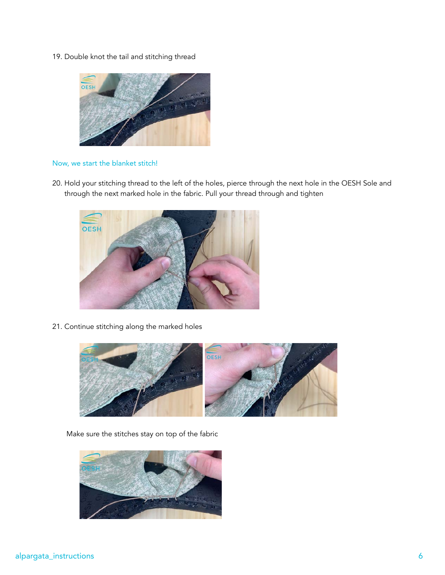19. Double knot the tail and stitching thread



## Now, we start the blanket stitch!

20. Hold your stitching thread to the left of the holes, pierce through the next hole in the OESH Sole and through the next marked hole in the fabric. Pull your thread through and tighten



21. Continue stitching along the marked holes



Make sure the stitches stay on top of the fabric